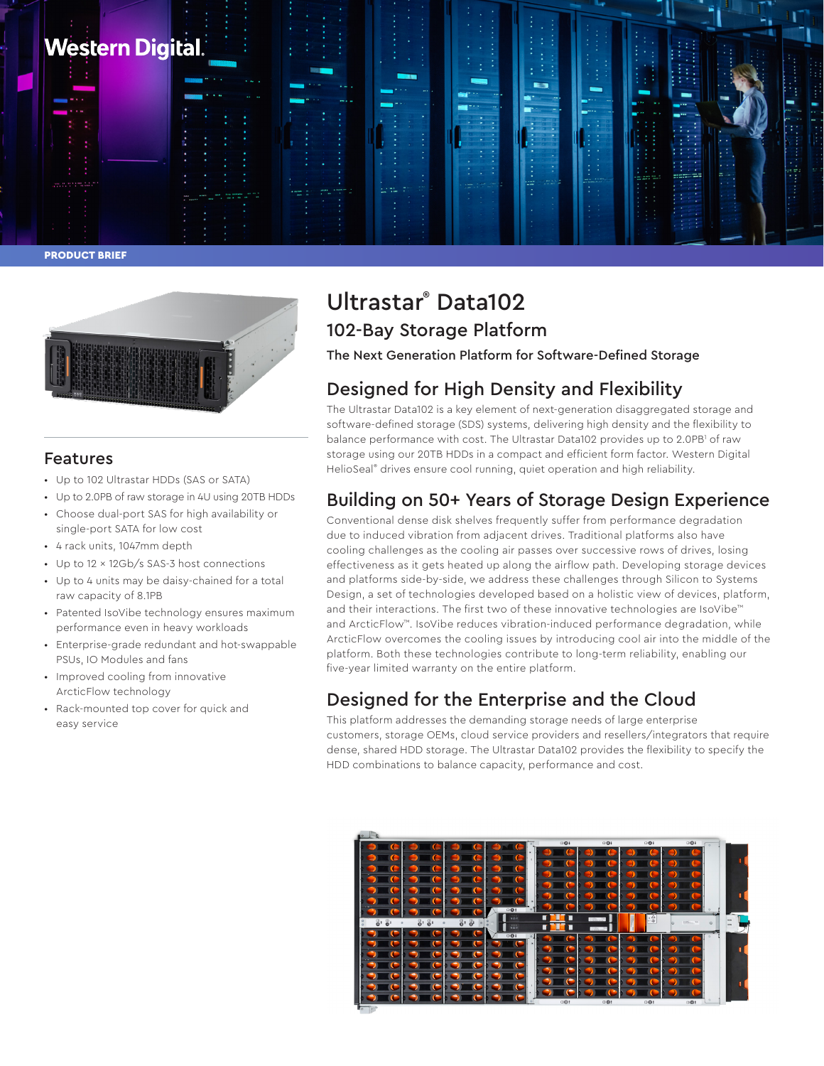



### Features

- Up to 102 Ultrastar HDDs (SAS or SATA)
- Up to 2.0PB of raw storage in 4U using 20TB HDDs
- Choose dual-port SAS for high availability or single-port SATA for low cost
- 4 rack units, 1047mm depth
- Up to 12 x 12Gb/s SAS-3 host connections
- Up to 4 units may be daisy-chained for a total raw capacity of 8.1PB
- Patented IsoVibe technology ensures maximum performance even in heavy workloads
- Enterprise-grade redundant and hot-swappable PSUs, IO Modules and fans
- Improved cooling from innovative ArcticFlow technology
- Rack-mounted top cover for quick and easy service

# Ultrastar® Data102 102-Bay Storage Platform

The Next Generation Platform for Software-Defined Storage

## Designed for High Density and Flexibility

The Ultrastar Data102 is a key element of next-generation disaggregated storage and software-defined storage (SDS) systems, delivering high density and the flexibility to balance performance with cost. The Ultrastar Data102 provides up to 2.0PB<sup>1</sup> of raw storage using our 20TB HDDs in a compact and efficient form factor. Western Digital HelioSeal<sup>®</sup> drives ensure cool running, quiet operation and high reliability.

## Building on 50+ Years of Storage Design Experience

Conventional dense disk shelves frequently suffer from performance degradation due to induced vibration from adjacent drives. Traditional platforms also have cooling challenges as the cooling air passes over successive rows of drives, losing effectiveness as it gets heated up along the airflow path. Developing storage devices and platforms side-by-side, we address these challenges through Silicon to Systems Design, a set of technologies developed based on a holistic view of devices, platform, and their interactions. The first two of these innovative technologies are IsoVibe™ and ArcticFlow™. IsoVibe reduces vibration-induced performance degradation, while ArcticFlow overcomes the cooling issues by introducing cool air into the middle of the platform. Both these technologies contribute to long-term reliability, enabling our five-year limited warranty on the entire platform.

## Designed for the Enterprise and the Cloud

This platform addresses the demanding storage needs of large enterprise customers, storage OEMs, cloud service providers and resellers/integrators that require dense, shared HDD storage. The Ultrastar Data102 provides the flexibility to specify the HDD combinations to balance capacity, performance and cost.